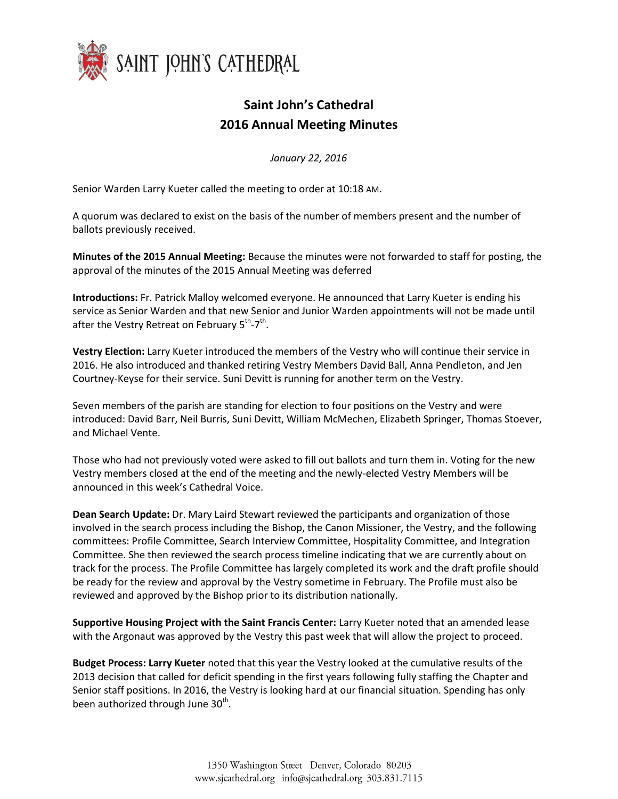

## **Saint John's Cathedral 2016 Annual Meeting Minutes**

*January 22, 2016*

Senior Warden Larry Kueter called the meeting to order at 10:18 AM.

A quorum was declared to exist on the basis of the number of members present and the number of ballots previously received.

**Minutes of the 2015 Annual Meeting:** Because the minutes were not forwarded to staff for posting, the approval of the minutes of the 2015 Annual Meeting was deferred

**Introductions:** Fr. Patrick Malloy welcomed everyone. He announced that Larry Kueter is ending his service as Senior Warden and that new Senior and Junior Warden appointments will not be made until after the Vestry Retreat on February 5<sup>th</sup>-7<sup>th</sup>.

**Vestry Election:** Larry Kueter introduced the members of the Vestry who will continue their service in 2016. He also introduced and thanked retiring Vestry Members David Ball, Anna Pendleton, and Jen Courtney-Keyse for their service. Suni Devitt is running for another term on the Vestry.

Seven members of the parish are standing for election to four positions on the Vestry and were introduced: David Barr, Neil Burris, Suni Devitt, William McMechen, Elizabeth Springer, Thomas Stoever, and Michael Vente.

Those who had not previously voted were asked to fill out ballots and turn them in. Voting for the new Vestry members closed at the end of the meeting and the newly-elected Vestry Members will be announced in this week's Cathedral Voice.

**Dean Search Update:** Dr. Mary Laird Stewart reviewed the participants and organization of those involved in the search process including the Bishop, the Canon Missioner, the Vestry, and the following committees: Profile Committee, Search Interview Committee, Hospitality Committee, and Integration Committee. She then reviewed the search process timeline indicating that we are currently about on track for the process. The Profile Committee has largely completed its work and the draft profile should be ready for the review and approval by the Vestry sometime in February. The Profile must also be reviewed and approved by the Bishop prior to its distribution nationally.

**Supportive Housing Project with the Saint Francis Center:** Larry Kueter noted that an amended lease with the Argonaut was approved by the Vestry this past week that will allow the project to proceed.

**Budget Process: Larry Kueter** noted that this year the Vestry looked at the cumulative results of the 2013 decision that called for deficit spending in the first years following fully staffing the Chapter and Senior staff positions. In 2016, the Vestry is looking hard at our financial situation. Spending has only been authorized through June 30<sup>th</sup>.